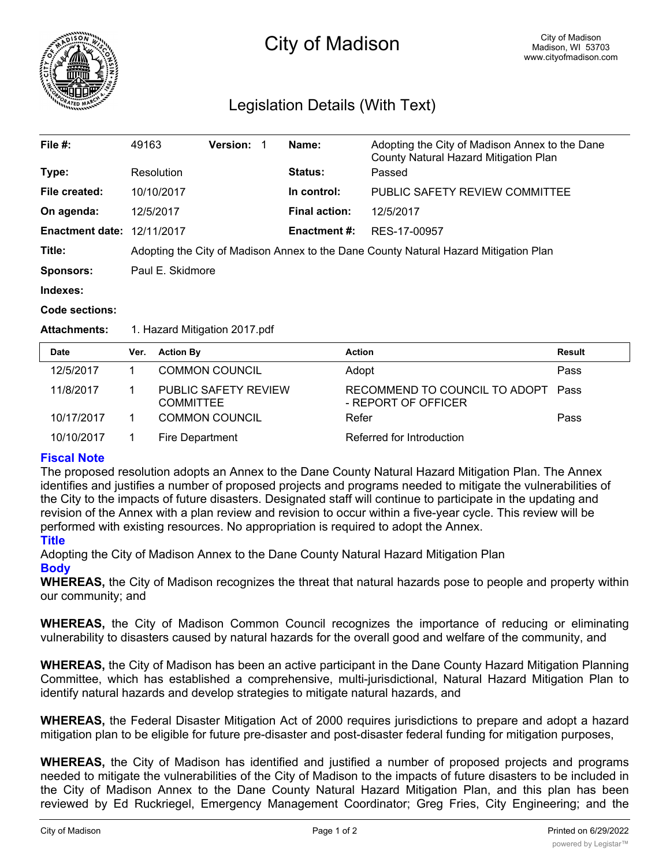

# City of Madison

## Legislation Details (With Text)

| File $#$ :             | 49163                                                                                | <b>Version:</b> |  | Name:                | Adopting the City of Madison Annex to the Dane<br>County Natural Hazard Mitigation Plan |  |  |
|------------------------|--------------------------------------------------------------------------------------|-----------------|--|----------------------|-----------------------------------------------------------------------------------------|--|--|
| Type:                  | Resolution                                                                           |                 |  | <b>Status:</b>       | Passed                                                                                  |  |  |
| File created:          | 10/10/2017                                                                           |                 |  | In control:          | PUBLIC SAFETY REVIEW COMMITTEE                                                          |  |  |
| On agenda:             | 12/5/2017                                                                            |                 |  | <b>Final action:</b> | 12/5/2017                                                                               |  |  |
| <b>Enactment date:</b> | 12/11/2017                                                                           |                 |  | <b>Enactment #:</b>  | RES-17-00957                                                                            |  |  |
| Title:                 | Adopting the City of Madison Annex to the Dane County Natural Hazard Mitigation Plan |                 |  |                      |                                                                                         |  |  |
| <b>Sponsors:</b>       | Paul E. Skidmore                                                                     |                 |  |                      |                                                                                         |  |  |
| Indexes:               |                                                                                      |                 |  |                      |                                                                                         |  |  |

#### **Code sections:**

#### **Attachments:** 1. Hazard Mitigation 2017.pdf

| <b>Date</b> | Ver. | <b>Action By</b>                         | <b>Action</b>                                        | <b>Result</b> |
|-------------|------|------------------------------------------|------------------------------------------------------|---------------|
| 12/5/2017   |      | <b>COMMON COUNCIL</b>                    | Adopt                                                | Pass          |
| 11/8/2017   |      | PUBLIC SAFETY REVIEW<br><b>COMMITTEE</b> | RECOMMEND TO COUNCIL TO ADOPT<br>- REPORT OF OFFICER | Pass          |
| 10/17/2017  |      | <b>COMMON COUNCIL</b>                    | Refer                                                | Pass          |
| 10/10/2017  |      | Fire Department                          | Referred for Introduction                            |               |

### **Fiscal Note**

The proposed resolution adopts an Annex to the Dane County Natural Hazard Mitigation Plan. The Annex identifies and justifies a number of proposed projects and programs needed to mitigate the vulnerabilities of the City to the impacts of future disasters. Designated staff will continue to participate in the updating and revision of the Annex with a plan review and revision to occur within a five-year cycle. This review will be performed with existing resources. No appropriation is required to adopt the Annex.

#### **Title**

Adopting the City of Madison Annex to the Dane County Natural Hazard Mitigation Plan **Body**

**WHEREAS,** the City of Madison recognizes the threat that natural hazards pose to people and property within our community; and

**WHEREAS,** the City of Madison Common Council recognizes the importance of reducing or eliminating vulnerability to disasters caused by natural hazards for the overall good and welfare of the community, and

**WHEREAS,** the City of Madison has been an active participant in the Dane County Hazard Mitigation Planning Committee, which has established a comprehensive, multi-jurisdictional, Natural Hazard Mitigation Plan to identify natural hazards and develop strategies to mitigate natural hazards, and

**WHEREAS,** the Federal Disaster Mitigation Act of 2000 requires jurisdictions to prepare and adopt a hazard mitigation plan to be eligible for future pre-disaster and post-disaster federal funding for mitigation purposes,

**WHEREAS,** the City of Madison has identified and justified a number of proposed projects and programs needed to mitigate the vulnerabilities of the City of Madison to the impacts of future disasters to be included in the City of Madison Annex to the Dane County Natural Hazard Mitigation Plan, and this plan has been reviewed by Ed Ruckriegel, Emergency Management Coordinator; Greg Fries, City Engineering; and the